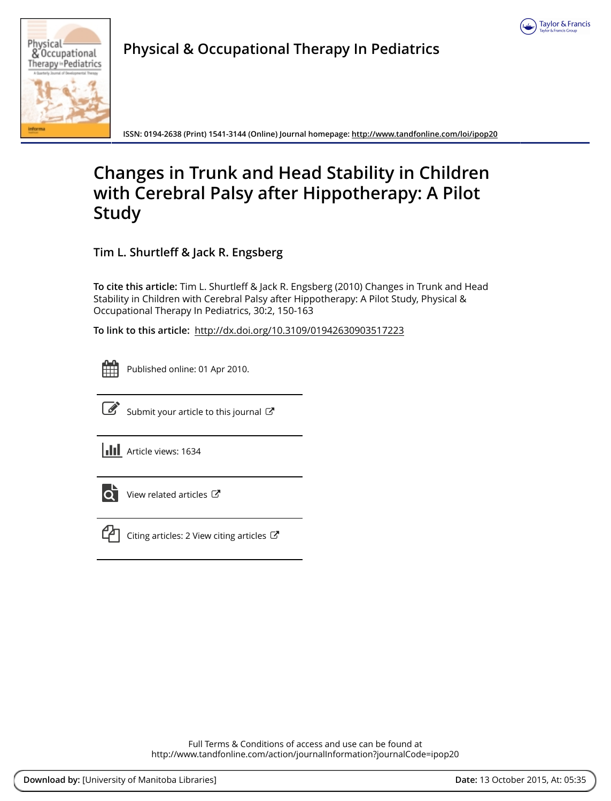



**Physical & Occupational Therapy In Pediatrics**

**ISSN: 0194-2638 (Print) 1541-3144 (Online) Journal homepage:<http://www.tandfonline.com/loi/ipop20>**

# **Changes in Trunk and Head Stability in Children with Cerebral Palsy after Hippotherapy: A Pilot Study**

**Tim L. Shurtleff & Jack R. Engsberg**

**To cite this article:** Tim L. Shurtleff & Jack R. Engsberg (2010) Changes in Trunk and Head Stability in Children with Cerebral Palsy after Hippotherapy: A Pilot Study, Physical & Occupational Therapy In Pediatrics, 30:2, 150-163

**To link to this article:** <http://dx.doi.org/10.3109/01942630903517223>

Published online: 01 Apr 2010.



 $\overline{\mathscr{L}}$  [Submit your article to this journal](http://www.tandfonline.com/action/authorSubmission?journalCode=ipop20&page=instructions)  $\mathbb{F}$ 

**III** Article views: 1634



 $\overrightarrow{Q}$  [View related articles](http://www.tandfonline.com/doi/mlt/10.3109/01942630903517223)  $\overrightarrow{C}$ 



[Citing articles: 2 View citing articles](http://www.tandfonline.com/doi/citedby/10.3109/01942630903517223#tabModule)  $\mathbb{Z}$ 

Full Terms & Conditions of access and use can be found at <http://www.tandfonline.com/action/journalInformation?journalCode=ipop20>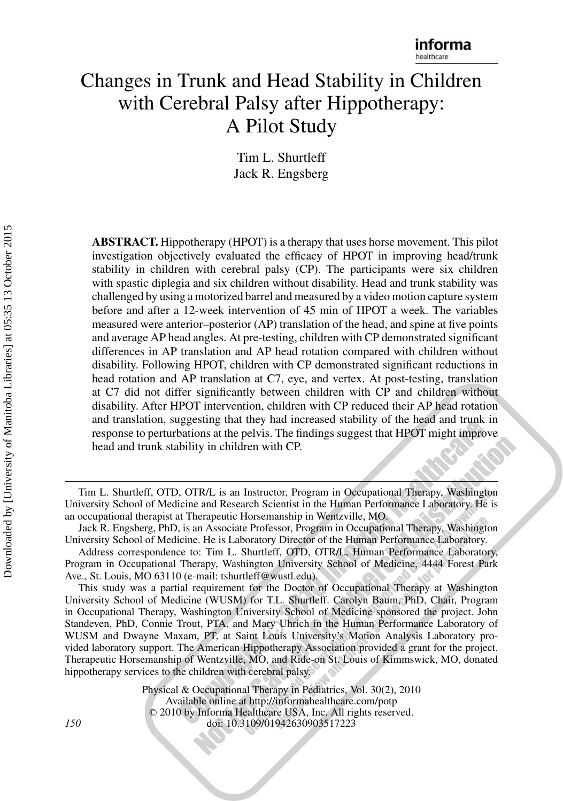# Changes in Trunk and Head Stability in Children with Cerebral Palsy after Hippotherapy: A Pilot Study

Tim L. Shurtleff Jack R. Engsberg

**ABSTRACT.** Hippotherapy (HPOT) is a therapy that uses horse movement. This pilot investigation objectively evaluated the efficacy of HPOT in improving head/trunk stability in children with cerebral palsy (CP). The participants were six children with spastic diplegia and six children without disability. Head and trunk stability was challenged by using a motorized barrel and measured by a video motion capture system before and after a 12-week intervention of 45 min of HPOT a week. The variables measured were anterior–posterior (AP) translation of the head, and spine at five points and average AP head angles. At pre-testing, children with CP demonstrated significant differences in AP translation and AP head rotation compared with children without disability. Following HPOT, children with CP demonstrated significant reductions in head rotation and AP translation at C7, eye, and vertex. At post-testing, translation at C7 did not differ significantly between children with CP and children without disability. After HPOT intervention, children with CP reduced their AP head rotation and translation, suggesting that they had increased stability of the head and trunk in response to perturbations at the pelvis. The findings suggest that HPOT might improve head and trunk stability in children with CP.

This study was a partial requirement for the Doctor of Occupational Therapy at Washington University School of Medicine (WUSM) for T.L. Shurtleff. Carolyn Baum, PhD, Chair, Program in Occupational Therapy, Washington University School of Medicine sponsored the project. John Standeven, PhD, Connie Trout, PTA, and Mary Uhrich in the Human Performance Laboratory of WUSM and Dwayne Maxam, PT, at Saint Louis University's Motion Analysis Laboratory provided laboratory support. The American Hippotherapy Association provided a grant for the project. Therapeutic Horsemanship of Wentzville, MO, and Ride-on St. Louis of Kimmswick, MO, donated hippotherapy services to the children with cerebral palsy.

> Physical & Occupational Therapy in Pediatrics, Vol. 30(2), 2010 Available online at http://informahealthcare.com/potp <sup>C</sup> 2010 by Informa Healthcare USA, Inc. All rights reserved. doi: 10.3109/01942630903517223

Tim L. Shurtleff, OTD, OTR/L is an Instructor, Program in Occupational Therapy, Washington University School of Medicine and Research Scientist in the Human Performance Laboratory. He is an occupational therapist at Therapeutic Horsemanship in Wentzville, MO.

Jack R. Engsberg, PhD, is an Associate Professor, Program in Occupational Therapy, Washington University School of Medicine. He is Laboratory Director of the Human Performance Laboratory.

Address correspondence to: Tim L. Shurtleff, OTD, OTR/L, Human Performance Laboratory, Program in Occupational Therapy, Washington University School of Medicine, 4444 Forest Park Ave., St. Louis, MO 63110 (e-mail: tshurtleff@wustl.edu).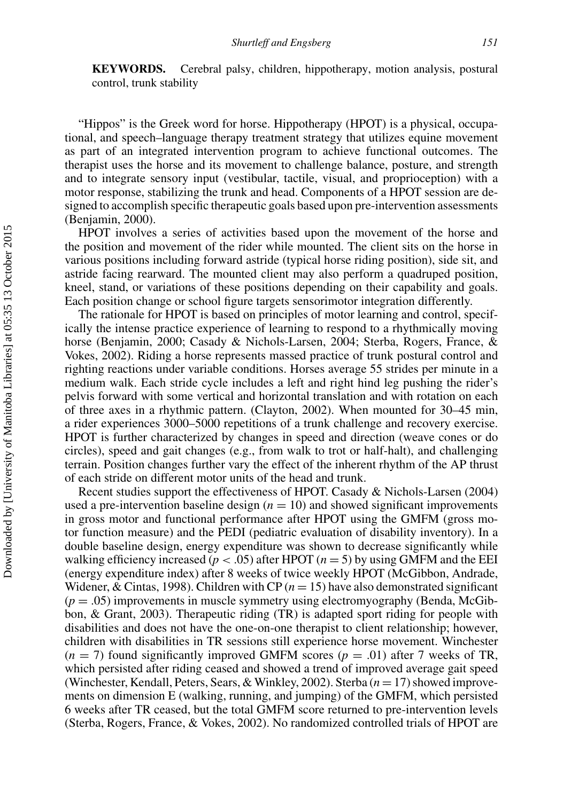**KEYWORDS.** Cerebral palsy, children, hippotherapy, motion analysis, postural control, trunk stability

"Hippos" is the Greek word for horse. Hippotherapy (HPOT) is a physical, occupational, and speech–language therapy treatment strategy that utilizes equine movement as part of an integrated intervention program to achieve functional outcomes. The therapist uses the horse and its movement to challenge balance, posture, and strength and to integrate sensory input (vestibular, tactile, visual, and proprioception) with a motor response, stabilizing the trunk and head. Components of a HPOT session are designed to accomplish specific therapeutic goals based upon pre-intervention assessments (Benjamin, 2000).

HPOT involves a series of activities based upon the movement of the horse and the position and movement of the rider while mounted. The client sits on the horse in various positions including forward astride (typical horse riding position), side sit, and astride facing rearward. The mounted client may also perform a quadruped position, kneel, stand, or variations of these positions depending on their capability and goals. Each position change or school figure targets sensorimotor integration differently.

The rationale for HPOT is based on principles of motor learning and control, specifically the intense practice experience of learning to respond to a rhythmically moving horse (Benjamin, 2000; Casady & Nichols-Larsen, 2004; Sterba, Rogers, France, & Vokes, 2002). Riding a horse represents massed practice of trunk postural control and righting reactions under variable conditions. Horses average 55 strides per minute in a medium walk. Each stride cycle includes a left and right hind leg pushing the rider's pelvis forward with some vertical and horizontal translation and with rotation on each of three axes in a rhythmic pattern. (Clayton, 2002). When mounted for 30–45 min, a rider experiences 3000–5000 repetitions of a trunk challenge and recovery exercise. HPOT is further characterized by changes in speed and direction (weave cones or do circles), speed and gait changes (e.g., from walk to trot or half-halt), and challenging terrain. Position changes further vary the effect of the inherent rhythm of the AP thrust of each stride on different motor units of the head and trunk.

Recent studies support the effectiveness of HPOT. Casady & Nichols-Larsen (2004) used a pre-intervention baseline design  $(n = 10)$  and showed significant improvements in gross motor and functional performance after HPOT using the GMFM (gross motor function measure) and the PEDI (pediatric evaluation of disability inventory). In a double baseline design, energy expenditure was shown to decrease significantly while walking efficiency increased ( $p < .05$ ) after HPOT ( $n = 5$ ) by using GMFM and the EEI (energy expenditure index) after 8 weeks of twice weekly HPOT (McGibbon, Andrade, Widener, & Cintas, 1998). Children with CP  $(n = 15)$  have also demonstrated significant (*p* = .05) improvements in muscle symmetry using electromyography (Benda, McGibbon, & Grant, 2003). Therapeutic riding (TR) is adapted sport riding for people with disabilities and does not have the one-on-one therapist to client relationship; however, children with disabilities in TR sessions still experience horse movement. Winchester  $(n = 7)$  found significantly improved GMFM scores  $(p = .01)$  after 7 weeks of TR, which persisted after riding ceased and showed a trend of improved average gait speed (Winchester, Kendall, Peters, Sears, & Winkley, 2002). Sterba (*n* = 17) showed improvements on dimension E (walking, running, and jumping) of the GMFM, which persisted 6 weeks after TR ceased, but the total GMFM score returned to pre-intervention levels (Sterba, Rogers, France, & Vokes, 2002). No randomized controlled trials of HPOT are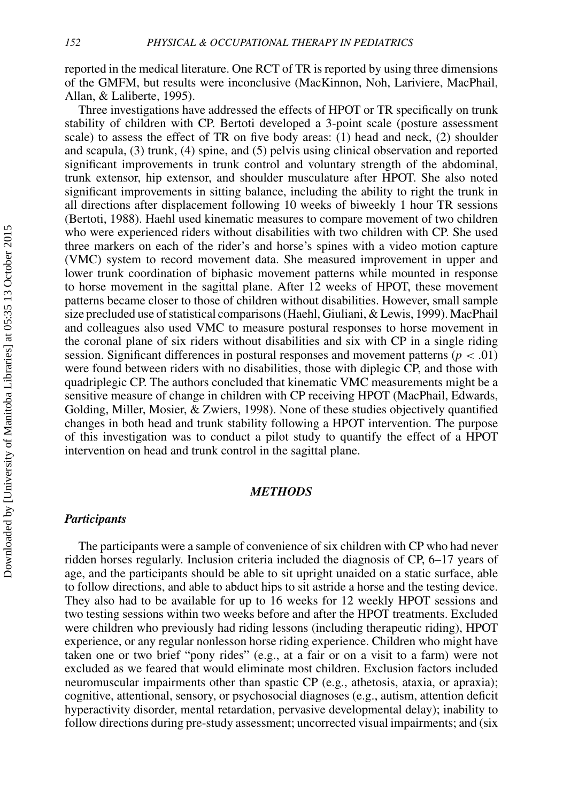reported in the medical literature. One RCT of TR is reported by using three dimensions of the GMFM, but results were inconclusive (MacKinnon, Noh, Lariviere, MacPhail, Allan, & Laliberte, 1995).

Three investigations have addressed the effects of HPOT or TR specifically on trunk stability of children with CP. Bertoti developed a 3-point scale (posture assessment scale) to assess the effect of TR on five body areas: (1) head and neck, (2) shoulder and scapula, (3) trunk, (4) spine, and (5) pelvis using clinical observation and reported significant improvements in trunk control and voluntary strength of the abdominal, trunk extensor, hip extensor, and shoulder musculature after HPOT. She also noted significant improvements in sitting balance, including the ability to right the trunk in all directions after displacement following 10 weeks of biweekly 1 hour TR sessions (Bertoti, 1988). Haehl used kinematic measures to compare movement of two children who were experienced riders without disabilities with two children with CP. She used three markers on each of the rider's and horse's spines with a video motion capture (VMC) system to record movement data. She measured improvement in upper and lower trunk coordination of biphasic movement patterns while mounted in response to horse movement in the sagittal plane. After 12 weeks of HPOT, these movement patterns became closer to those of children without disabilities. However, small sample size precluded use of statistical comparisons (Haehl, Giuliani, & Lewis, 1999). MacPhail and colleagues also used VMC to measure postural responses to horse movement in the coronal plane of six riders without disabilities and six with CP in a single riding session. Significant differences in postural responses and movement patterns (*p <* .01) were found between riders with no disabilities, those with diplegic CP, and those with quadriplegic CP. The authors concluded that kinematic VMC measurements might be a sensitive measure of change in children with CP receiving HPOT (MacPhail, Edwards, Golding, Miller, Mosier, & Zwiers, 1998). None of these studies objectively quantified changes in both head and trunk stability following a HPOT intervention. The purpose of this investigation was to conduct a pilot study to quantify the effect of a HPOT intervention on head and trunk control in the sagittal plane.

# *METHODS*

#### *Participants*

The participants were a sample of convenience of six children with CP who had never ridden horses regularly. Inclusion criteria included the diagnosis of CP, 6–17 years of age, and the participants should be able to sit upright unaided on a static surface, able to follow directions, and able to abduct hips to sit astride a horse and the testing device. They also had to be available for up to 16 weeks for 12 weekly HPOT sessions and two testing sessions within two weeks before and after the HPOT treatments. Excluded were children who previously had riding lessons (including therapeutic riding), HPOT experience, or any regular nonlesson horse riding experience. Children who might have taken one or two brief "pony rides" (e.g., at a fair or on a visit to a farm) were not excluded as we feared that would eliminate most children. Exclusion factors included neuromuscular impairments other than spastic CP (e.g., athetosis, ataxia, or apraxia); cognitive, attentional, sensory, or psychosocial diagnoses (e.g., autism, attention deficit hyperactivity disorder, mental retardation, pervasive developmental delay); inability to follow directions during pre-study assessment; uncorrected visual impairments; and (six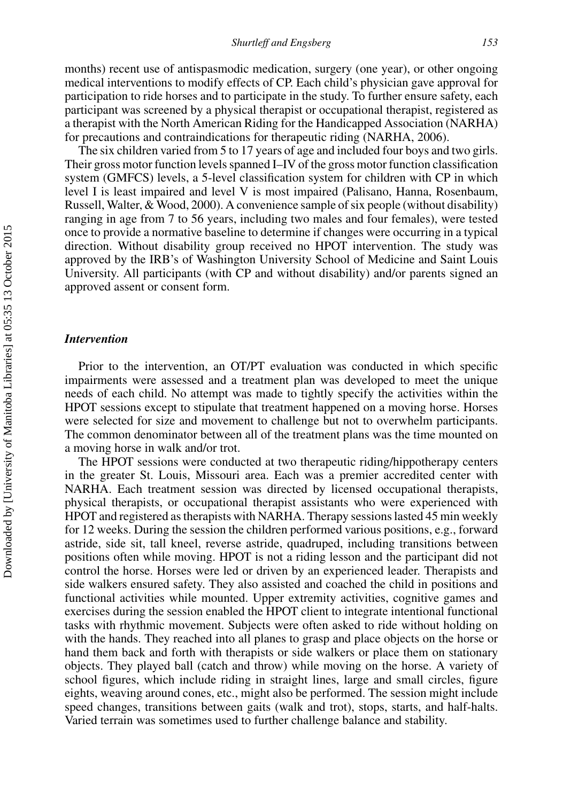months) recent use of antispasmodic medication, surgery (one year), or other ongoing medical interventions to modify effects of CP. Each child's physician gave approval for participation to ride horses and to participate in the study. To further ensure safety, each participant was screened by a physical therapist or occupational therapist, registered as a therapist with the North American Riding for the Handicapped Association (NARHA) for precautions and contraindications for therapeutic riding (NARHA, 2006).

The six children varied from 5 to 17 years of age and included four boys and two girls. Their gross motor function levels spanned I–IV of the gross motor function classification system (GMFCS) levels, a 5-level classification system for children with CP in which level I is least impaired and level V is most impaired (Palisano, Hanna, Rosenbaum, Russell, Walter, & Wood, 2000). A convenience sample of six people (without disability) ranging in age from 7 to 56 years, including two males and four females), were tested once to provide a normative baseline to determine if changes were occurring in a typical direction. Without disability group received no HPOT intervention. The study was approved by the IRB's of Washington University School of Medicine and Saint Louis University. All participants (with CP and without disability) and/or parents signed an approved assent or consent form.

#### *Intervention*

Prior to the intervention, an OT/PT evaluation was conducted in which specific impairments were assessed and a treatment plan was developed to meet the unique needs of each child. No attempt was made to tightly specify the activities within the HPOT sessions except to stipulate that treatment happened on a moving horse. Horses were selected for size and movement to challenge but not to overwhelm participants. The common denominator between all of the treatment plans was the time mounted on a moving horse in walk and/or trot.

The HPOT sessions were conducted at two therapeutic riding/hippotherapy centers in the greater St. Louis, Missouri area. Each was a premier accredited center with NARHA. Each treatment session was directed by licensed occupational therapists, physical therapists, or occupational therapist assistants who were experienced with HPOT and registered as therapists with NARHA. Therapy sessions lasted 45 min weekly for 12 weeks. During the session the children performed various positions, e.g., forward astride, side sit, tall kneel, reverse astride, quadruped, including transitions between positions often while moving. HPOT is not a riding lesson and the participant did not control the horse. Horses were led or driven by an experienced leader. Therapists and side walkers ensured safety. They also assisted and coached the child in positions and functional activities while mounted. Upper extremity activities, cognitive games and exercises during the session enabled the HPOT client to integrate intentional functional tasks with rhythmic movement. Subjects were often asked to ride without holding on with the hands. They reached into all planes to grasp and place objects on the horse or hand them back and forth with therapists or side walkers or place them on stationary objects. They played ball (catch and throw) while moving on the horse. A variety of school figures, which include riding in straight lines, large and small circles, figure eights, weaving around cones, etc., might also be performed. The session might include speed changes, transitions between gaits (walk and trot), stops, starts, and half-halts. Varied terrain was sometimes used to further challenge balance and stability.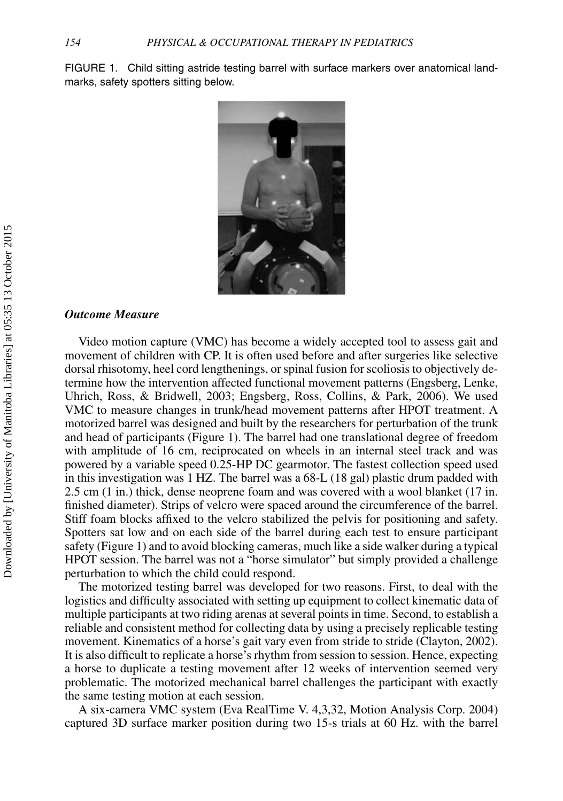FIGURE 1. Child sitting astride testing barrel with surface markers over anatomical landmarks, safety spotters sitting below.



# *Outcome Measure*

Video motion capture (VMC) has become a widely accepted tool to assess gait and movement of children with CP. It is often used before and after surgeries like selective dorsal rhisotomy, heel cord lengthenings, or spinal fusion for scoliosis to objectively determine how the intervention affected functional movement patterns (Engsberg, Lenke, Uhrich, Ross, & Bridwell, 2003; Engsberg, Ross, Collins, & Park, 2006). We used VMC to measure changes in trunk/head movement patterns after HPOT treatment. A motorized barrel was designed and built by the researchers for perturbation of the trunk and head of participants (Figure 1). The barrel had one translational degree of freedom with amplitude of 16 cm, reciprocated on wheels in an internal steel track and was powered by a variable speed 0.25-HP DC gearmotor. The fastest collection speed used in this investigation was 1 HZ. The barrel was a 68-L (18 gal) plastic drum padded with 2.5 cm (1 in.) thick, dense neoprene foam and was covered with a wool blanket (17 in. finished diameter). Strips of velcro were spaced around the circumference of the barrel. Stiff foam blocks affixed to the velcro stabilized the pelvis for positioning and safety. Spotters sat low and on each side of the barrel during each test to ensure participant safety (Figure 1) and to avoid blocking cameras, much like a side walker during a typical HPOT session. The barrel was not a "horse simulator" but simply provided a challenge perturbation to which the child could respond.

The motorized testing barrel was developed for two reasons. First, to deal with the logistics and difficulty associated with setting up equipment to collect kinematic data of multiple participants at two riding arenas at several points in time. Second, to establish a reliable and consistent method for collecting data by using a precisely replicable testing movement. Kinematics of a horse's gait vary even from stride to stride (Clayton, 2002). It is also difficult to replicate a horse's rhythm from session to session. Hence, expecting a horse to duplicate a testing movement after 12 weeks of intervention seemed very problematic. The motorized mechanical barrel challenges the participant with exactly the same testing motion at each session.

A six-camera VMC system (Eva RealTime V. 4,3,32, Motion Analysis Corp. 2004) captured 3D surface marker position during two 15-s trials at 60 Hz. with the barrel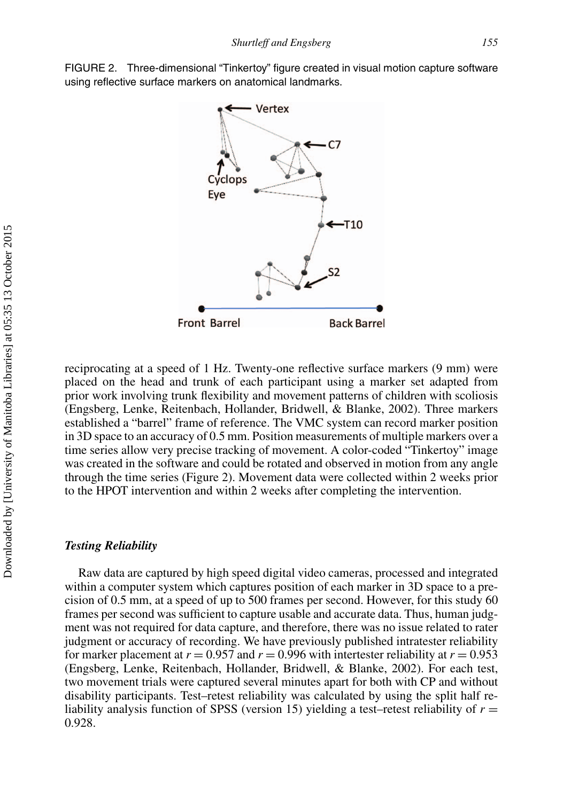

FIGURE 2. Three-dimensional "Tinkertoy" figure created in visual motion capture software using reflective surface markers on anatomical landmarks.

reciprocating at a speed of 1 Hz. Twenty-one reflective surface markers (9 mm) were placed on the head and trunk of each participant using a marker set adapted from prior work involving trunk flexibility and movement patterns of children with scoliosis (Engsberg, Lenke, Reitenbach, Hollander, Bridwell, & Blanke, 2002). Three markers established a "barrel" frame of reference. The VMC system can record marker position in 3D space to an accuracy of 0.5 mm. Position measurements of multiple markers over a time series allow very precise tracking of movement. A color-coded "Tinkertoy" image was created in the software and could be rotated and observed in motion from any angle through the time series (Figure 2). Movement data were collected within 2 weeks prior to the HPOT intervention and within 2 weeks after completing the intervention.

#### *Testing Reliability*

Raw data are captured by high speed digital video cameras, processed and integrated within a computer system which captures position of each marker in 3D space to a precision of 0.5 mm, at a speed of up to 500 frames per second. However, for this study 60 frames per second was sufficient to capture usable and accurate data. Thus, human judgment was not required for data capture, and therefore, there was no issue related to rater judgment or accuracy of recording. We have previously published intratester reliability for marker placement at  $r = 0.957$  and  $r = 0.996$  with intertester reliability at  $r = 0.953$ (Engsberg, Lenke, Reitenbach, Hollander, Bridwell, & Blanke, 2002). For each test, two movement trials were captured several minutes apart for both with CP and without disability participants. Test–retest reliability was calculated by using the split half reliability analysis function of SPSS (version 15) yielding a test–retest reliability of  $r =$ 0.928.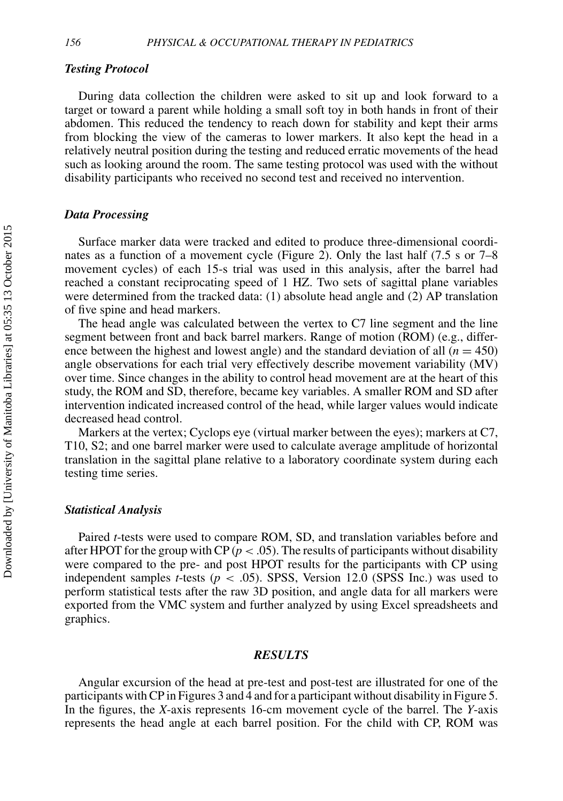#### *Testing Protocol*

During data collection the children were asked to sit up and look forward to a target or toward a parent while holding a small soft toy in both hands in front of their abdomen. This reduced the tendency to reach down for stability and kept their arms from blocking the view of the cameras to lower markers. It also kept the head in a relatively neutral position during the testing and reduced erratic movements of the head such as looking around the room. The same testing protocol was used with the without disability participants who received no second test and received no intervention.

#### *Data Processing*

Surface marker data were tracked and edited to produce three-dimensional coordinates as a function of a movement cycle (Figure 2). Only the last half (7.5 s or 7–8 movement cycles) of each 15-s trial was used in this analysis, after the barrel had reached a constant reciprocating speed of 1 HZ. Two sets of sagittal plane variables were determined from the tracked data: (1) absolute head angle and (2) AP translation of five spine and head markers.

The head angle was calculated between the vertex to C7 line segment and the line segment between front and back barrel markers. Range of motion (ROM) (e.g., difference between the highest and lowest angle) and the standard deviation of all  $(n = 450)$ angle observations for each trial very effectively describe movement variability (MV) over time. Since changes in the ability to control head movement are at the heart of this study, the ROM and SD, therefore, became key variables. A smaller ROM and SD after intervention indicated increased control of the head, while larger values would indicate decreased head control.

Markers at the vertex; Cyclops eye (virtual marker between the eyes); markers at C7, T10, S2; and one barrel marker were used to calculate average amplitude of horizontal translation in the sagittal plane relative to a laboratory coordinate system during each testing time series.

#### *Statistical Analysis*

Paired *t*-tests were used to compare ROM, SD, and translation variables before and after HPOT for the group with CP ( $p < .05$ ). The results of participants without disability were compared to the pre- and post HPOT results for the participants with CP using independent samples *t*-tests ( $p < .05$ ). SPSS, Version 12.0 (SPSS Inc.) was used to perform statistical tests after the raw 3D position, and angle data for all markers were exported from the VMC system and further analyzed by using Excel spreadsheets and graphics.

#### *RESULTS*

Angular excursion of the head at pre-test and post-test are illustrated for one of the participants with CP in Figures 3 and 4 and for a participant without disability in Figure 5. In the figures, the *X*-axis represents 16-cm movement cycle of the barrel. The *Y*-axis represents the head angle at each barrel position. For the child with CP, ROM was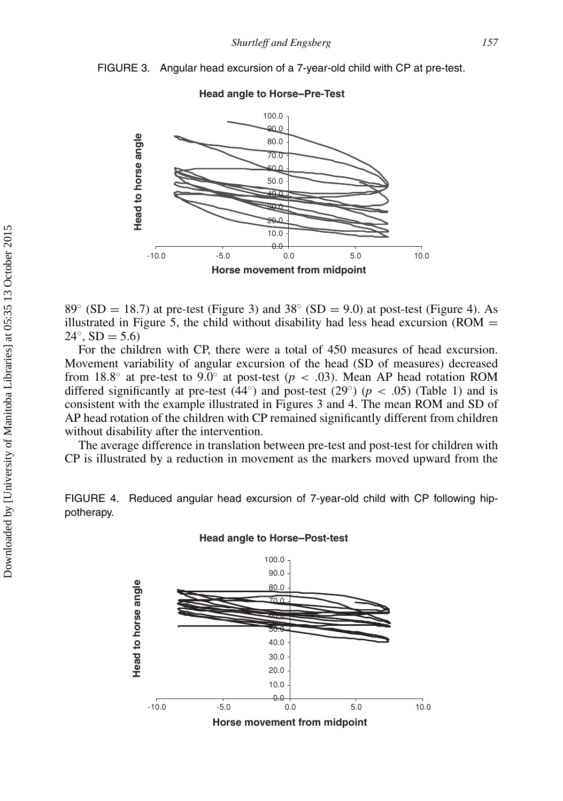#### FIGURE 3. Angular head excursion of a 7-year-old child with CP at pre-test.



**Head angle to Horse-Pre-Test** 

 $89°$  (SD = 18.7) at pre-test (Figure 3) and 38° (SD = 9.0) at post-test (Figure 4). As illustrated in Figure 5, the child without disability had less head excursion ( $ROM =$  $24^\circ$ ,  $SD = 5.6$ )

For the children with CP, there were a total of 450 measures of head excursion. Movement variability of angular excursion of the head (SD of measures) decreased from 18.8° at pre-test to 9.0° at post-test ( $p < .03$ ). Mean AP head rotation ROM differed significantly at pre-test (44<sup>°</sup>) and post-test (29<sup>°</sup>) (*p* < .05) (Table 1) and is consistent with the example illustrated in Figures 3 and 4. The mean ROM and SD of AP head rotation of the children with CP remained significantly different from children without disability after the intervention.

The average difference in translation between pre-test and post-test for children with CP is illustrated by a reduction in movement as the markers moved upward from the

FIGURE 4. Reduced angular head excursion of 7-year-old child with CP following hippotherapy.

## 100.0 90.0 Head to horse angle **Head to horse angle** 80.0 70.0 60.0 50.0 40.0 30.0 20.0 10.0  $0.0$ -10.0 -5.0 0.0 5.0 10.0

**Horse movement from midpoint**

**Head angle to Horse-Post-test**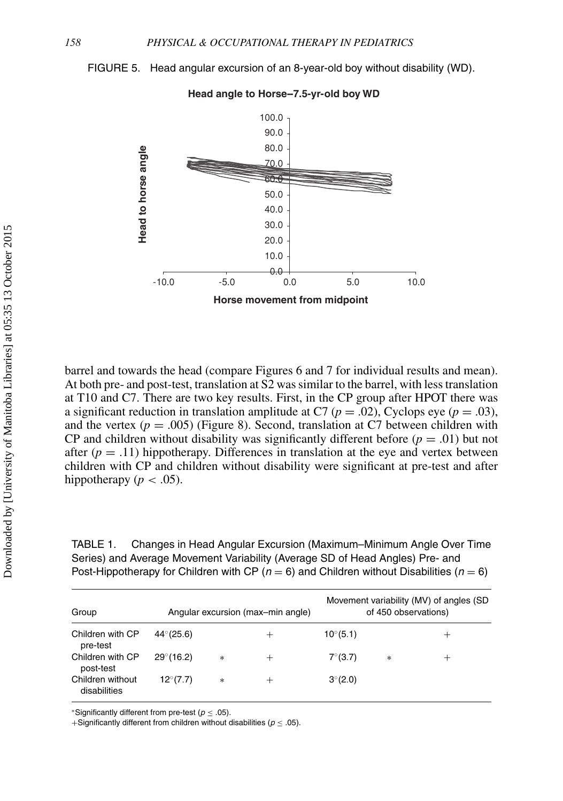FIGURE 5. Head angular excursion of an 8-year-old boy without disability (WD).



barrel and towards the head (compare Figures 6 and 7 for individual results and mean). At both pre- and post-test, translation at S2 was similar to the barrel, with less translation at T10 and C7. There are two key results. First, in the CP group after HPOT there was a significant reduction in translation amplitude at C7 ( $p = .02$ ), Cyclops eye ( $p = .03$ ), and the vertex  $(p = .005)$  (Figure 8). Second, translation at C7 between children with CP and children without disability was significantly different before  $(p = .01)$  but not after  $(p = .11)$  hippotherapy. Differences in translation at the eye and vertex between children with CP and children without disability were significant at pre-test and after hippotherapy ( $p < .05$ ).

TABLE 1. Changes in Head Angular Excursion (Maximum–Minimum Angle Over Time Series) and Average Movement Variability (Average SD of Head Angles) Pre- and Post-Hippotherapy for Children with CP ( $n = 6$ ) and Children without Disabilities ( $n = 6$ )

| Group                            | Angular excursion (max-min angle) |        |      | Movement variability (MV) of angles (SD<br>of 450 observations) |     |                 |
|----------------------------------|-----------------------------------|--------|------|-----------------------------------------------------------------|-----|-----------------|
| Children with CP<br>pre-test     | $44^{\circ}(25.6)$                |        |      | $10^{\circ}(5.1)$                                               |     | $^{\mathrm{+}}$ |
| Children with CP<br>post-test    | $29^{\circ}(16.2)$                | $\ast$ |      | $7^{\circ}(3.7)$                                                | $*$ | $^+$            |
| Children without<br>disabilities | $12^{\circ}(7.7)$                 | $\ast$ | $^+$ | $3^{\circ}(2.0)$                                                |     |                 |

\*Significantly different from pre-test ( $p \le .05$ ).

+Significantly different from children without disabilities ( $p \leq .05$ ).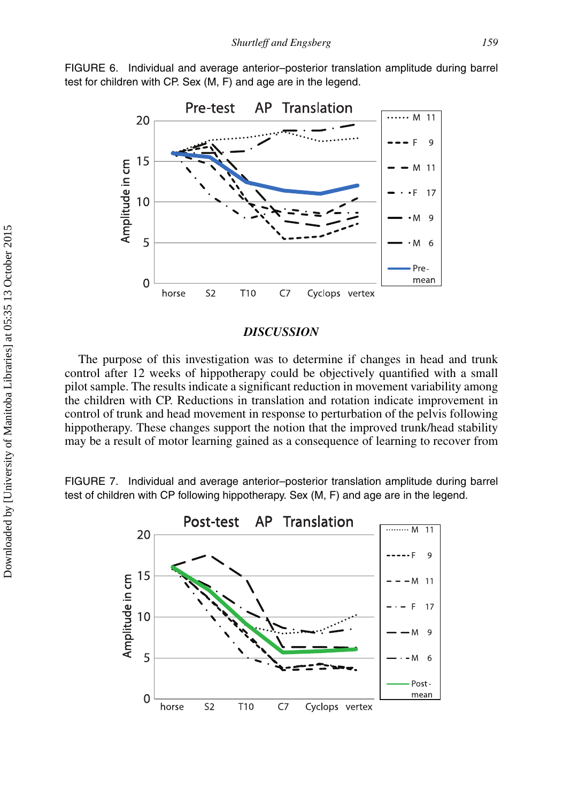

FIGURE 6. Individual and average anterior–posterior translation amplitude during barrel test for children with CP. Sex (M, F) and age are in the legend.

## *DISCUSSION*

The purpose of this investigation was to determine if changes in head and trunk control after 12 weeks of hippotherapy could be objectively quantified with a small pilot sample. The results indicate a significant reduction in movement variability among the children with CP. Reductions in translation and rotation indicate improvement in control of trunk and head movement in response to perturbation of the pelvis following hippotherapy. These changes support the notion that the improved trunk/head stability may be a result of motor learning gained as a consequence of learning to recover from

FIGURE 7. Individual and average anterior–posterior translation amplitude during barrel test of children with CP following hippotherapy. Sex (M, F) and age are in the legend.

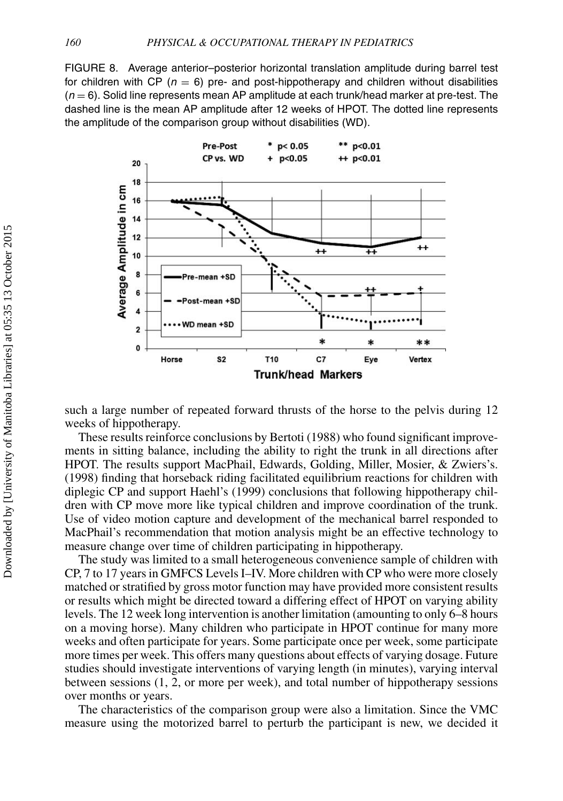FIGURE 8. Average anterior–posterior horizontal translation amplitude during barrel test for children with CP ( $n = 6$ ) pre- and post-hippotherapy and children without disabilities  $(n = 6)$ . Solid line represents mean AP amplitude at each trunk/head marker at pre-test. The dashed line is the mean AP amplitude after 12 weeks of HPOT. The dotted line represents the amplitude of the comparison group without disabilities (WD).



such a large number of repeated forward thrusts of the horse to the pelvis during 12 weeks of hippotherapy.

These results reinforce conclusions by Bertoti (1988) who found significant improvements in sitting balance, including the ability to right the trunk in all directions after HPOT. The results support MacPhail, Edwards, Golding, Miller, Mosier, & Zwiers's. (1998) finding that horseback riding facilitated equilibrium reactions for children with diplegic CP and support Haehl's (1999) conclusions that following hippotherapy children with CP move more like typical children and improve coordination of the trunk. Use of video motion capture and development of the mechanical barrel responded to MacPhail's recommendation that motion analysis might be an effective technology to measure change over time of children participating in hippotherapy.

The study was limited to a small heterogeneous convenience sample of children with CP, 7 to 17 years in GMFCS Levels I–IV. More children with CP who were more closely matched or stratified by gross motor function may have provided more consistent results or results which might be directed toward a differing effect of HPOT on varying ability levels. The 12 week long intervention is another limitation (amounting to only 6–8 hours on a moving horse). Many children who participate in HPOT continue for many more weeks and often participate for years. Some participate once per week, some participate more times per week. This offers many questions about effects of varying dosage. Future studies should investigate interventions of varying length (in minutes), varying interval between sessions (1, 2, or more per week), and total number of hippotherapy sessions over months or years.

The characteristics of the comparison group were also a limitation. Since the VMC measure using the motorized barrel to perturb the participant is new, we decided it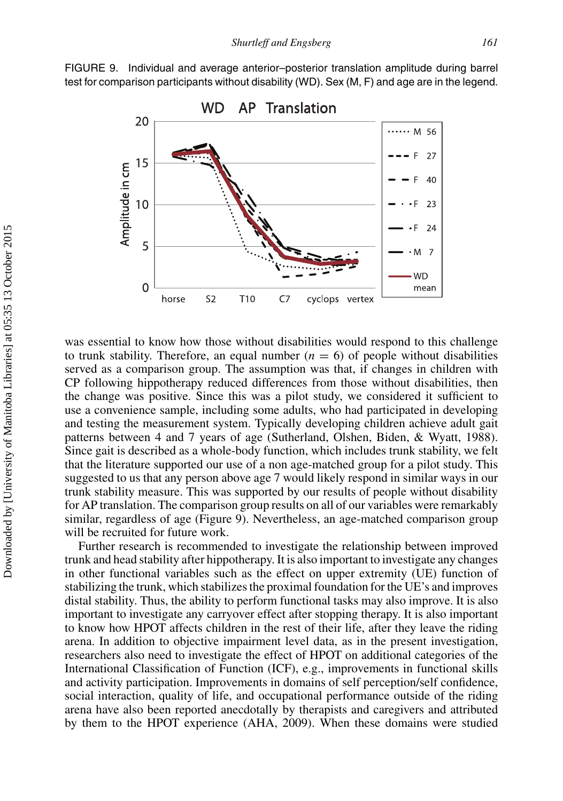

FIGURE 9. Individual and average anterior–posterior translation amplitude during barrel test for comparison participants without disability (WD). Sex (M, F) and age are in the legend.

was essential to know how those without disabilities would respond to this challenge to trunk stability. Therefore, an equal number  $(n = 6)$  of people without disabilities served as a comparison group. The assumption was that, if changes in children with CP following hippotherapy reduced differences from those without disabilities, then the change was positive. Since this was a pilot study, we considered it sufficient to use a convenience sample, including some adults, who had participated in developing and testing the measurement system. Typically developing children achieve adult gait patterns between 4 and 7 years of age (Sutherland, Olshen, Biden, & Wyatt, 1988). Since gait is described as a whole-body function, which includes trunk stability, we felt that the literature supported our use of a non age-matched group for a pilot study. This suggested to us that any person above age 7 would likely respond in similar ways in our trunk stability measure. This was supported by our results of people without disability for AP translation. The comparison group results on all of our variables were remarkably similar, regardless of age (Figure 9). Nevertheless, an age-matched comparison group will be recruited for future work.

Further research is recommended to investigate the relationship between improved trunk and head stability after hippotherapy. It is also important to investigate any changes in other functional variables such as the effect on upper extremity (UE) function of stabilizing the trunk, which stabilizes the proximal foundation for the UE's and improves distal stability. Thus, the ability to perform functional tasks may also improve. It is also important to investigate any carryover effect after stopping therapy. It is also important to know how HPOT affects children in the rest of their life, after they leave the riding arena. In addition to objective impairment level data, as in the present investigation, researchers also need to investigate the effect of HPOT on additional categories of the International Classification of Function (ICF), e.g., improvements in functional skills and activity participation. Improvements in domains of self perception/self confidence, social interaction, quality of life, and occupational performance outside of the riding arena have also been reported anecdotally by therapists and caregivers and attributed by them to the HPOT experience (AHA, 2009). When these domains were studied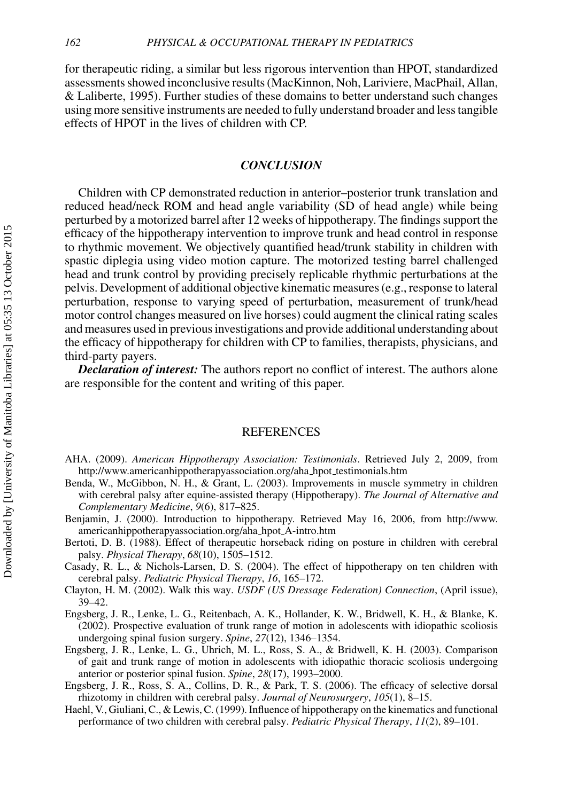for therapeutic riding, a similar but less rigorous intervention than HPOT, standardized assessments showed inconclusive results (MacKinnon, Noh, Lariviere, MacPhail, Allan, & Laliberte, 1995). Further studies of these domains to better understand such changes using more sensitive instruments are needed to fully understand broader and less tangible effects of HPOT in the lives of children with CP.

#### *CONCLUSION*

Children with CP demonstrated reduction in anterior–posterior trunk translation and reduced head/neck ROM and head angle variability (SD of head angle) while being perturbed by a motorized barrel after 12 weeks of hippotherapy. The findings support the efficacy of the hippotherapy intervention to improve trunk and head control in response to rhythmic movement. We objectively quantified head/trunk stability in children with spastic diplegia using video motion capture. The motorized testing barrel challenged head and trunk control by providing precisely replicable rhythmic perturbations at the pelvis. Development of additional objective kinematic measures (e.g., response to lateral perturbation, response to varying speed of perturbation, measurement of trunk/head motor control changes measured on live horses) could augment the clinical rating scales and measures used in previous investigations and provide additional understanding about the efficacy of hippotherapy for children with CP to families, therapists, physicians, and third-party payers.

*Declaration of interest:* The authors report no conflict of interest. The authors alone are responsible for the content and writing of this paper.

#### REFERENCES

- AHA. (2009). *American Hippotherapy Association: Testimonials*. Retrieved July 2, 2009, from http://www.americanhippotherapyassociation.org/aha hpot testimonials.htm
- Benda, W., McGibbon, N. H., & Grant, L. (2003). Improvements in muscle symmetry in children with cerebral palsy after equine-assisted therapy (Hippotherapy). *The Journal of Alternative and Complementary Medicine*, *9*(6), 817–825.
- Benjamin, J. (2000). Introduction to hippotherapy. Retrieved May 16, 2006, from http://www. americanhippotherapyassociation.org/aha hpot A-intro.htm
- Bertoti, D. B. (1988). Effect of therapeutic horseback riding on posture in children with cerebral palsy. *Physical Therapy*, *68*(10), 1505–1512.
- Casady, R. L., & Nichols-Larsen, D. S. (2004). The effect of hippotherapy on ten children with cerebral palsy. *Pediatric Physical Therapy*, *16*, 165–172.
- Clayton, H. M. (2002). Walk this way. *USDF (US Dressage Federation) Connection*, (April issue), 39–42.
- Engsberg, J. R., Lenke, L. G., Reitenbach, A. K., Hollander, K. W., Bridwell, K. H., & Blanke, K. (2002). Prospective evaluation of trunk range of motion in adolescents with idiopathic scoliosis undergoing spinal fusion surgery. *Spine*, *27*(12), 1346–1354.
- Engsberg, J. R., Lenke, L. G., Uhrich, M. L., Ross, S. A., & Bridwell, K. H. (2003). Comparison of gait and trunk range of motion in adolescents with idiopathic thoracic scoliosis undergoing anterior or posterior spinal fusion. *Spine*, *28*(17), 1993–2000.
- Engsberg, J. R., Ross, S. A., Collins, D. R., & Park, T. S. (2006). The efficacy of selective dorsal rhizotomy in children with cerebral palsy. *Journal of Neurosurgery*, *105*(1), 8–15.
- Haehl, V., Giuliani, C., & Lewis, C. (1999). Influence of hippotherapy on the kinematics and functional performance of two children with cerebral palsy. *Pediatric Physical Therapy*, *11*(2), 89–101.